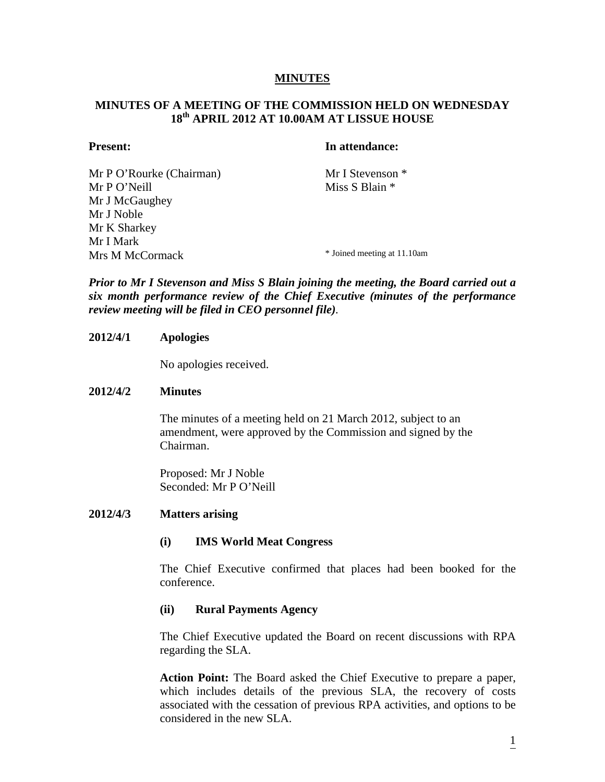## **MINUTES**

# **MINUTES OF A MEETING OF THE COMMISSION HELD ON WEDNESDAY 18th APRIL 2012 AT 10.00AM AT LISSUE HOUSE**

## **Present:** In attendance:

Mr P O'Rourke (Chairman) Mr I Stevenson \*  $Mr P O' Neill$  Miss S Blain  $*$ Mr J McGaughey Mr J Noble Mr K Sharkey Mr I Mark Mrs M McCormack \* Joined meeting at 11.10am

*Prior to Mr I Stevenson and Miss S Blain joining the meeting, the Board carried out a six month performance review of the Chief Executive (minutes of the performance review meeting will be filed in CEO personnel file).* 

## **2012/4/1 Apologies**

No apologies received.

### **2012/4/2 Minutes**

The minutes of a meeting held on 21 March 2012, subject to an amendment, were approved by the Commission and signed by the Chairman.

Proposed: Mr J Noble Seconded: Mr P O'Neill

### **2012/4/3 Matters arising**

### **(i) IMS World Meat Congress**

The Chief Executive confirmed that places had been booked for the conference.

### **(ii) Rural Payments Agency**

The Chief Executive updated the Board on recent discussions with RPA regarding the SLA.

**Action Point:** The Board asked the Chief Executive to prepare a paper, which includes details of the previous SLA, the recovery of costs associated with the cessation of previous RPA activities, and options to be considered in the new SLA.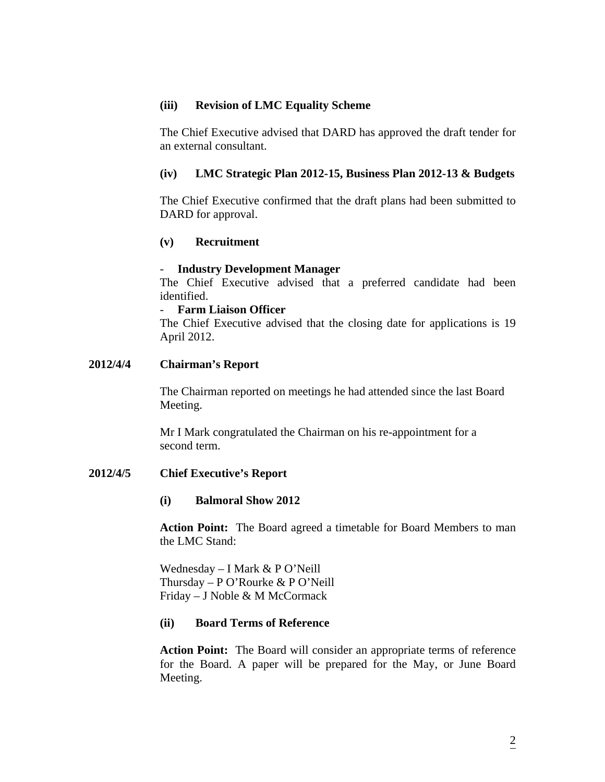# **(iii) Revision of LMC Equality Scheme**

The Chief Executive advised that DARD has approved the draft tender for an external consultant.

## **(iv) LMC Strategic Plan 2012-15, Business Plan 2012-13 & Budgets**

The Chief Executive confirmed that the draft plans had been submitted to DARD for approval.

# **(v) Recruitment**

#### - **Industry Development Manager**

The Chief Executive advised that a preferred candidate had been identified.

## - **Farm Liaison Officer**

The Chief Executive advised that the closing date for applications is 19 April 2012.

## **2012/4/4 Chairman's Report**

The Chairman reported on meetings he had attended since the last Board Meeting.

Mr I Mark congratulated the Chairman on his re-appointment for a second term.

## **2012/4/5 Chief Executive's Report**

#### **(i) Balmoral Show 2012**

**Action Point:** The Board agreed a timetable for Board Members to man the LMC Stand:

Wednesday – I Mark & P O'Neill Thursday – P O'Rourke & P O'Neill Friday – J Noble & M McCormack

#### **(ii) Board Terms of Reference**

**Action Point:** The Board will consider an appropriate terms of reference for the Board. A paper will be prepared for the May, or June Board Meeting.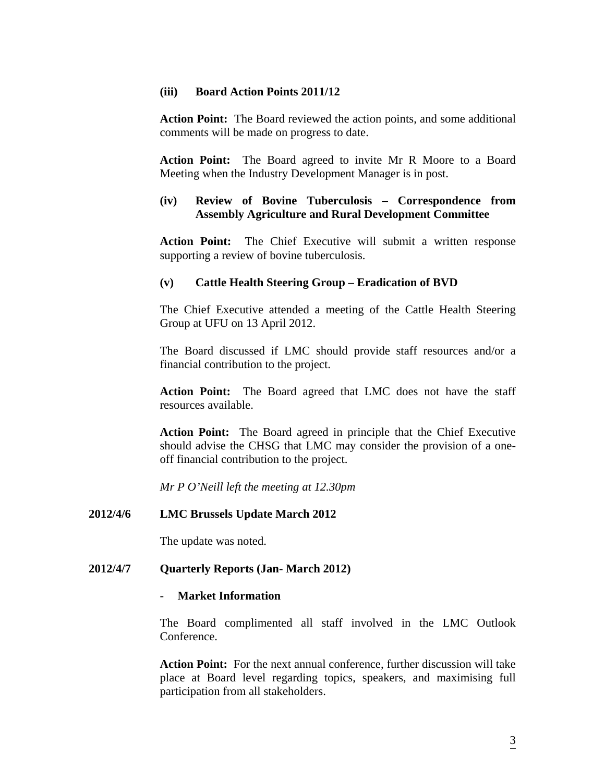## **(iii) Board Action Points 2011/12**

**Action Point:** The Board reviewed the action points, and some additional comments will be made on progress to date.

**Action Point:** The Board agreed to invite Mr R Moore to a Board Meeting when the Industry Development Manager is in post.

# **(iv) Review of Bovine Tuberculosis – Correspondence from Assembly Agriculture and Rural Development Committee**

**Action Point:** The Chief Executive will submit a written response supporting a review of bovine tuberculosis.

# **(v) Cattle Health Steering Group – Eradication of BVD**

The Chief Executive attended a meeting of the Cattle Health Steering Group at UFU on 13 April 2012.

The Board discussed if LMC should provide staff resources and/or a financial contribution to the project.

**Action Point:** The Board agreed that LMC does not have the staff resources available.

**Action Point:** The Board agreed in principle that the Chief Executive should advise the CHSG that LMC may consider the provision of a oneoff financial contribution to the project.

*Mr P O'Neill left the meeting at 12.30pm* 

# **2012/4/6 LMC Brussels Update March 2012**

The update was noted.

# **2012/4/7 Quarterly Reports (Jan- March 2012)**

### - **Market Information**

The Board complimented all staff involved in the LMC Outlook Conference.

**Action Point:** For the next annual conference, further discussion will take place at Board level regarding topics, speakers, and maximising full participation from all stakeholders.